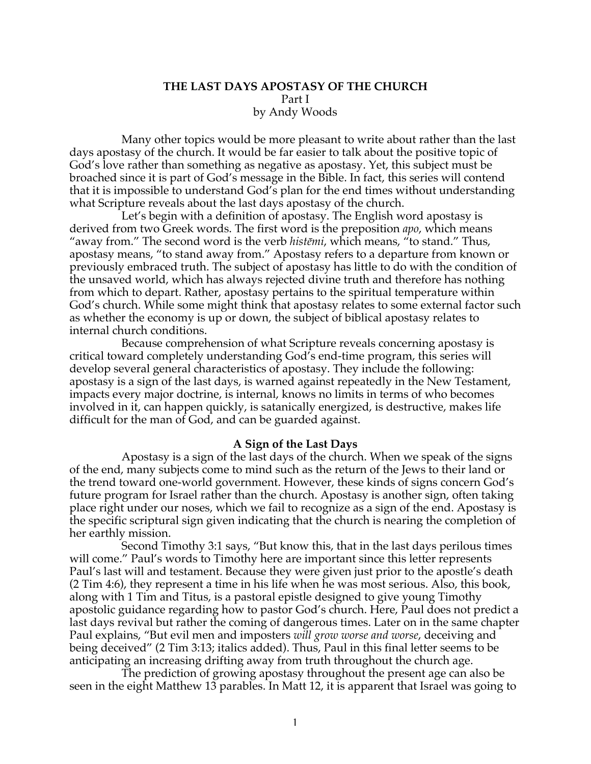## **THE LAST DAYS APOSTASY OF THE CHURCH** Part I by Andy Woods

Many other topics would be more pleasant to write about rather than the last days apostasy of the church. It would be far easier to talk about the positive topic of God's love rather than something as negative as apostasy. Yet, this subject must be broached since it is part of God's message in the Bible. In fact, this series will contend that it is impossible to understand God's plan for the end times without understanding what Scripture reveals about the last days apostasy of the church.

Let's begin with a definition of apostasy. The English word apostasy is derived from two Greek words. The first word is the preposition *apo*, which means "away from." The second word is the verb *histēmi*, which means, "to stand." Thus, apostasy means, "to stand away from." Apostasy refers to a departure from known or previously embraced truth. The subject of apostasy has little to do with the condition of the unsaved world, which has always rejected divine truth and therefore has nothing from which to depart. Rather, apostasy pertains to the spiritual temperature within God's church. While some might think that apostasy relates to some external factor such as whether the economy is up or down, the subject of biblical apostasy relates to internal church conditions.

Because comprehension of what Scripture reveals concerning apostasy is critical toward completely understanding God's end-time program, this series will develop several general characteristics of apostasy. They include the following: apostasy is a sign of the last days, is warned against repeatedly in the New Testament, impacts every major doctrine, is internal, knows no limits in terms of who becomes involved in it, can happen quickly, is satanically energized, is destructive, makes life difficult for the man of God, and can be guarded against.

## **A Sign of the Last Days**

Apostasy is a sign of the last days of the church. When we speak of the signs of the end, many subjects come to mind such as the return of the Jews to their land or the trend toward one-world government. However, these kinds of signs concern God's future program for Israel rather than the church. Apostasy is another sign, often taking place right under our noses, which we fail to recognize as a sign of the end. Apostasy is the specific scriptural sign given indicating that the church is nearing the completion of her earthly mission.

Second Timothy 3:1 says, "But know this, that in the last days perilous times will come." Paul's words to Timothy here are important since this letter represents Paul's last will and testament. Because they were given just prior to the apostle's death (2 Tim 4:6), they represent a time in his life when he was most serious. Also, this book, along with 1 Tim and Titus, is a pastoral epistle designed to give young Timothy apostolic guidance regarding how to pastor God's church. Here, Paul does not predict a last days revival but rather the coming of dangerous times. Later on in the same chapter Paul explains, "But evil men and imposters *will grow worse and worse*, deceiving and being deceived" (2 Tim 3:13; italics added). Thus, Paul in this final letter seems to be anticipating an increasing drifting away from truth throughout the church age.

The prediction of growing apostasy throughout the present age can also be seen in the eight Matthew 13 parables. In Matt 12, it is apparent that Israel was going to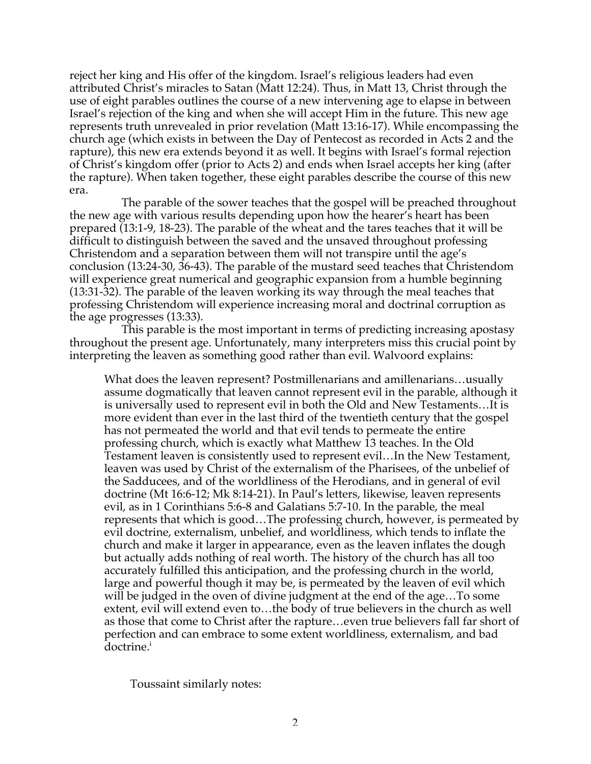reject her king and His offer of the kingdom. Israel's religious leaders had even attributed Christ's miracles to Satan (Matt 12:24). Thus, in Matt 13, Christ through the use of eight parables outlines the course of a new intervening age to elapse in between Israel's rejection of the king and when she will accept Him in the future. This new age represents truth unrevealed in prior revelation (Matt 13:16-17). While encompassing the church age (which exists in between the Day of Pentecost as recorded in Acts 2 and the rapture), this new era extends beyond it as well. It begins with Israel's formal rejection of Christ's kingdom offer (prior to Acts 2) and ends when Israel accepts her king (after the rapture). When taken together, these eight parables describe the course of this new era.

The parable of the sower teaches that the gospel will be preached throughout the new age with various results depending upon how the hearer's heart has been prepared (13:1-9, 18-23). The parable of the wheat and the tares teaches that it will be difficult to distinguish between the saved and the unsaved throughout professing Christendom and a separation between them will not transpire until the age's conclusion (13:24-30, 36-43). The parable of the mustard seed teaches that Christendom will experience great numerical and geographic expansion from a humble beginning (13:31-32). The parable of the leaven working its way through the meal teaches that professing Christendom will experience increasing moral and doctrinal corruption as the age progresses (13:33).

This parable is the most important in terms of predicting increasing apostasy throughout the present age. Unfortunately, many interpreters miss this crucial point by interpreting the leaven as something good rather than evil. Walvoord explains:

What does the leaven represent? Postmillenarians and amillenarians…usually assume dogmatically that leaven cannot represent evil in the parable, although it is universally used to represent evil in both the Old and New Testaments…It is more evident than ever in the last third of the twentieth century that the gospel has not permeated the world and that evil tends to permeate the entire professing church, which is exactly what Matthew 13 teaches. In the Old Testament leaven is consistently used to represent evil…In the New Testament, leaven was used by Christ of the externalism of the Pharisees, of the unbelief of the Sadducees, and of the worldliness of the Herodians, and in general of evil doctrine (Mt 16:6-12; Mk 8:14-21). In Paul's letters, likewise, leaven represents evil, as in 1 Corinthians 5:6-8 and Galatians 5:7-10. In the parable, the meal represents that which is good…The professing church, however, is permeated by evil doctrine, externalism, unbelief, and worldliness, which tends to inflate the church and make it larger in appearance, even as the leaven inflates the dough but actually adds nothing of real worth. The history of the church has all too accurately fulfilled this anticipation, and the professing church in the world, large and powerful though it may be, is permeated by the leaven of evil which will be judged in the oven of divine judgment at the end of the age…To some extent, evil will extend even to…the body of true believers in the church as well as those that come to Christ after the rapture…even true believers fall far short of perfection and can embrace to some extent worldliness, externalism, and bad doctrine.<sup>i</sup>

Toussaint similarly notes: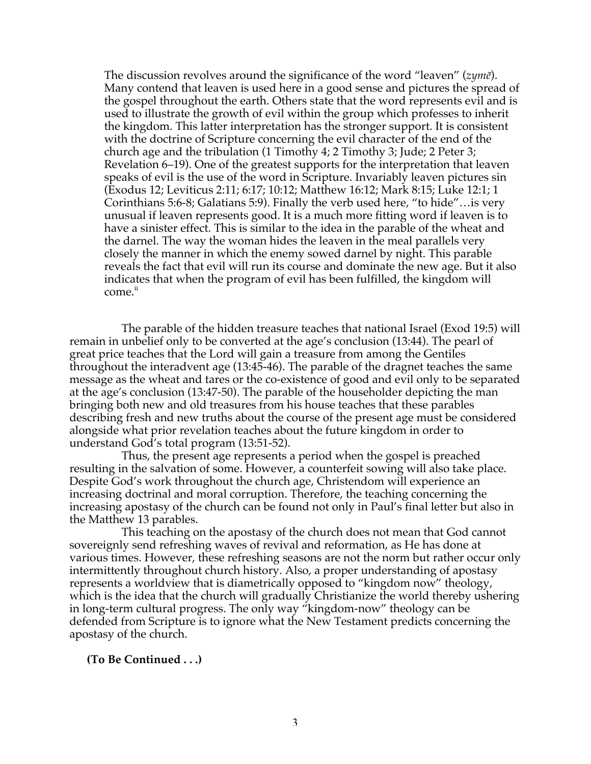The discussion revolves around the significance of the word "leaven" (*zymē*). Many contend that leaven is used here in a good sense and pictures the spread of the gospel throughout the earth. Others state that the word represents evil and is used to illustrate the growth of evil within the group which professes to inherit the kingdom. This latter interpretation has the stronger support. It is consistent with the doctrine of Scripture concerning the evil character of the end of the church age and the tribulation (1 Timothy 4; 2 Timothy 3; Jude; 2 Peter 3; Revelation 6–19). One of the greatest supports for the interpretation that leaven speaks of evil is the use of the word in Scripture. Invariably leaven pictures sin (Exodus 12; Leviticus 2:11; 6:17; 10:12; Matthew 16:12; Mark 8:15; Luke 12:1; 1 Corinthians 5:6-8; Galatians 5:9). Finally the verb used here, "to hide"…is very unusual if leaven represents good. It is a much more fitting word if leaven is to have a sinister effect. This is similar to the idea in the parable of the wheat and the darnel. The way the woman hides the leaven in the meal parallels very closely the manner in which the enemy sowed darnel by night. This parable reveals the fact that evil will run its course and dominate the new age. But it also indicates that when the program of evil has been fulfilled, the kingdom will come.<sup>ii</sup>

The parable of the hidden treasure teaches that national Israel (Exod 19:5) will remain in unbelief only to be converted at the age's conclusion (13:44). The pearl of great price teaches that the Lord will gain a treasure from among the Gentiles throughout the interadvent age (13:45-46). The parable of the dragnet teaches the same message as the wheat and tares or the co-existence of good and evil only to be separated at the age's conclusion (13:47-50). The parable of the householder depicting the man bringing both new and old treasures from his house teaches that these parables describing fresh and new truths about the course of the present age must be considered alongside what prior revelation teaches about the future kingdom in order to understand God's total program (13:51-52).

Thus, the present age represents a period when the gospel is preached resulting in the salvation of some. However, a counterfeit sowing will also take place. Despite God's work throughout the church age, Christendom will experience an increasing doctrinal and moral corruption. Therefore, the teaching concerning the increasing apostasy of the church can be found not only in Paul's final letter but also in the Matthew 13 parables.

This teaching on the apostasy of the church does not mean that God cannot sovereignly send refreshing waves of revival and reformation, as He has done at various times. However, these refreshing seasons are not the norm but rather occur only intermittently throughout church history. Also, a proper understanding of apostasy represents a worldview that is diametrically opposed to "kingdom now" theology, which is the idea that the church will gradually Christianize the world thereby ushering in long-term cultural progress. The only way "kingdom-now" theology can be defended from Scripture is to ignore what the New Testament predicts concerning the apostasy of the church.

## **(To Be Continued . . .)**